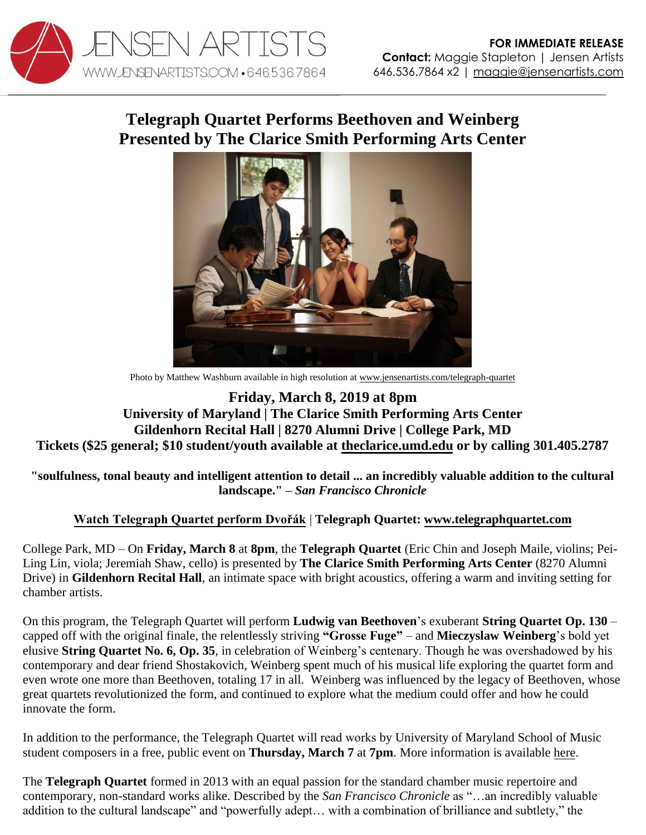

## **Telegraph Quartet Performs Beethoven and Weinberg Presented by The Clarice Smith Performing Arts Center**



Photo by Matthew Washburn available in high resolution a[t www.jensenartists.com/telegraph-quartet](http://www.jensenartists.com/telegraph-quartet)

## **Friday, March 8, 2019 at 8pm University of Maryland | The Clarice Smith Performing Arts Center Gildenhorn Recital Hall | 8270 Alumni Drive | College Park, MD Tickets (\$25 general; \$10 student/youth available at [theclarice.umd.edu](https://theclarice.umd.edu/events/2019/telegraph-quartet) or by calling 301.405.2787**

**"soulfulness, tonal beauty and intelligent attention to detail ... an incredibly valuable addition to the cultural landscape." –** *San Francisco Chronicle* 

## **[Watch Telegraph Quartet perform Dvořák](https://youtu.be/dgI4xUcPUZ8)** | **Telegraph Quartet: [www.telegraphquartet.com](http://www.telegraphquartet.com/)**

College Park, MD – On **Friday, March 8** at **8pm**, the **Telegraph Quartet** (Eric Chin and Joseph Maile, violins; Pei-Ling Lin, viola; Jeremiah Shaw, cello) is presented by **The Clarice Smith Performing Arts Center** (8270 Alumni Drive) in **Gildenhorn Recital Hall**, an intimate space with bright acoustics, offering a warm and inviting setting for chamber artists.

On this program, the Telegraph Quartet will perform **Ludwig van Beethoven**'s exuberant **String Quartet Op. 130** – capped off with the original finale, the relentlessly striving **"Grosse Fuge"** – and **Mieczyslaw Weinberg**'s bold yet elusive **String Quartet No. 6, Op. 35**, in celebration of Weinberg's centenary. Though he was overshadowed by his contemporary and dear friend Shostakovich, Weinberg spent much of his musical life exploring the quartet form and even wrote one more than Beethoven, totaling 17 in all. Weinberg was influenced by the legacy of Beethoven, whose great quartets revolutionized the form, and continued to explore what the medium could offer and how he could innovate the form.

In addition to the performance, the Telegraph Quartet will read works by University of Maryland School of Music student composers in a free, public event on **Thursday, March 7** at **7pm**. More information is available [here.](https://theclarice.umd.edu/events/2019/telegraph-quartet-composer-reading) 

The **Telegraph Quartet** formed in 2013 with an equal passion for the standard chamber music repertoire and contemporary, non-standard works alike. Described by the *San Francisco Chronicle* as "…an incredibly valuable addition to the cultural landscape" and "powerfully adept… with a combination of brilliance and subtlety," the